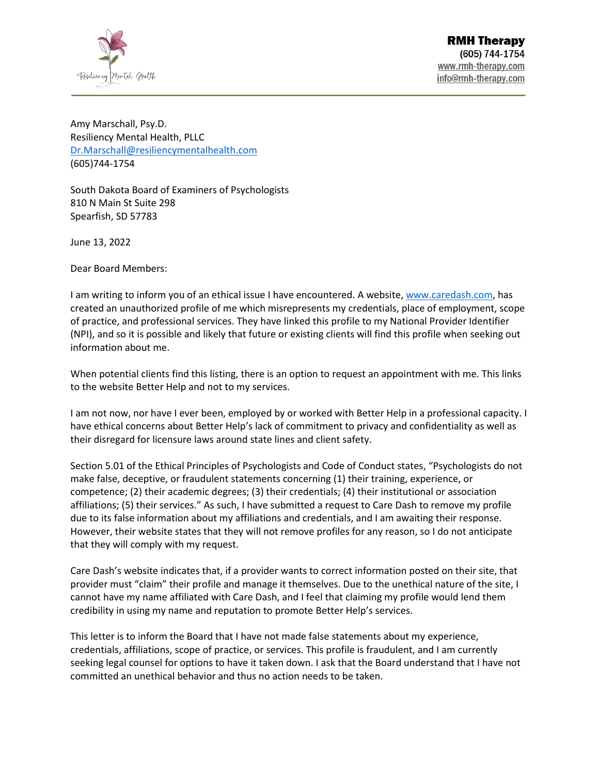

Amy Marschall, Psy.D. Resiliency Mental Health, PLLC [Dr.Marschall@resiliencymentalhealth.com](mailto:Dr.Marschall@resiliencymentalhealth.com) (605)744-1754

South Dakota Board of Examiners of Psychologists 810 N Main St Suite 298 Spearfish, SD 57783

June 13, 2022

Dear Board Members:

I am writing to inform you of an ethical issue I have encountered. A website, [www.caredash.com,](http://www.caredash.com/) has created an unauthorized profile of me which misrepresents my credentials, place of employment, scope of practice, and professional services. They have linked this profile to my National Provider Identifier (NPI), and so it is possible and likely that future or existing clients will find this profile when seeking out information about me.

When potential clients find this listing, there is an option to request an appointment with me. This links to the website Better Help and not to my services.

I am not now, nor have I ever been, employed by or worked with Better Help in a professional capacity. I have ethical concerns about Better Help's lack of commitment to privacy and confidentiality as well as their disregard for licensure laws around state lines and client safety.

Section 5.01 of the Ethical Principles of Psychologists and Code of Conduct states, "Psychologists do not make false, deceptive, or fraudulent statements concerning (1) their training, experience, or competence; (2) their academic degrees; (3) their credentials; (4) their institutional or association affiliations; (5) their services." As such, I have submitted a request to Care Dash to remove my profile due to its false information about my affiliations and credentials, and I am awaiting their response. However, their website states that they will not remove profiles for any reason, so I do not anticipate that they will comply with my request.

Care Dash's website indicates that, if a provider wants to correct information posted on their site, that provider must "claim" their profile and manage it themselves. Due to the unethical nature of the site, I cannot have my name affiliated with Care Dash, and I feel that claiming my profile would lend them credibility in using my name and reputation to promote Better Help's services.

This letter is to inform the Board that I have not made false statements about my experience, credentials, affiliations, scope of practice, or services. This profile is fraudulent, and I am currently seeking legal counsel for options to have it taken down. I ask that the Board understand that I have not committed an unethical behavior and thus no action needs to be taken.